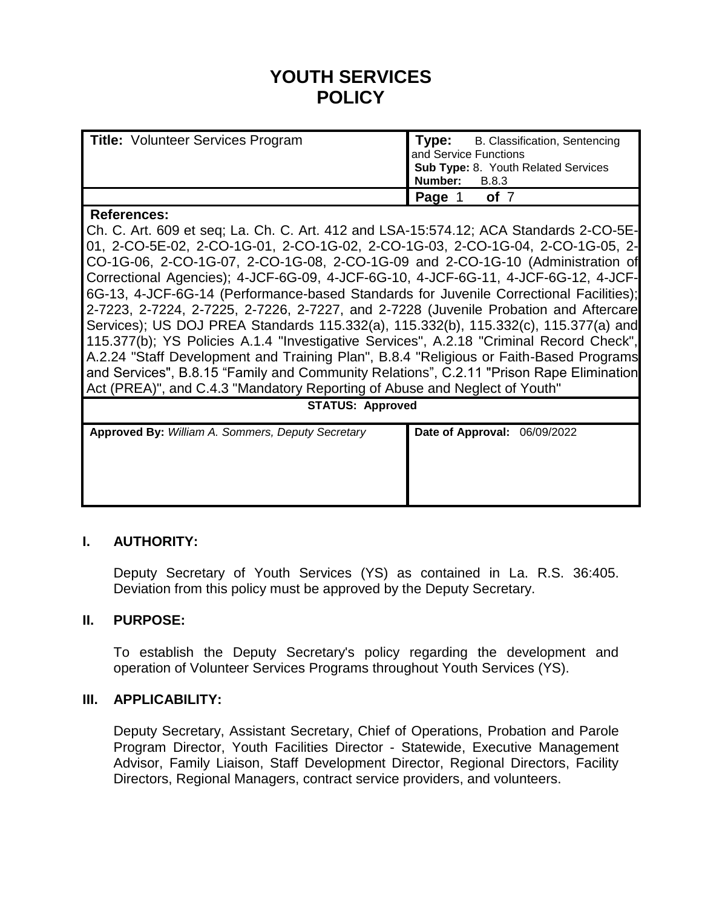# **YOUTH SERVICES POLICY**

| <b>Title: Volunteer Services Program</b> | l Type:<br>B. Classification, Sentencing<br>and Service Functions<br>Sub Type: 8. Youth Related Services<br>Number:<br><b>B.8.3</b> |
|------------------------------------------|-------------------------------------------------------------------------------------------------------------------------------------|
|                                          | $\sqrt{2}$ Page $\sqrt{2}$<br>of <sub>7</sub>                                                                                       |

#### **References:**

Ch. C. Art. 609 et seq; La. Ch. C. Art. 412 and LSA-15:574.12; ACA Standards 2-CO-5E-01, 2-CO-5E-02, 2-CO-1G-01, 2-CO-1G-02, 2-CO-1G-03, 2-CO-1G-04, 2-CO-1G-05, 2- CO-1G-06, 2-CO-1G-07, 2-CO-1G-08, 2-CO-1G-09 and 2-CO-1G-10 (Administration of Correctional Agencies); 4-JCF-6G-09, 4-JCF-6G-10, 4-JCF-6G-11, 4-JCF-6G-12, 4-JCF-6G-13, 4-JCF-6G-14 (Performance-based Standards for Juvenile Correctional Facilities); 2-7223, 2-7224, 2-7225, 2-7226, 2-7227, and 2-7228 (Juvenile Probation and Aftercare Services); US DOJ PREA Standards 115.332(a), 115.332(b), 115.332(c), 115.377(a) and 115.377(b); YS Policies A.1.4 "Investigative Services", A.2.18 "Criminal Record Check", A.2.24 "Staff Development and Training Plan", B.8.4 "Religious or Faith-Based Programs and Services", B.8.15 "Family and Community Relations", C.2.11 "Prison Rape Elimination Act (PREA)", and C.4.3 "Mandatory Reporting of Abuse and Neglect of Youth"

| $\cdot$<br><b>STATUS: Approved</b>                |                              |  |  |  |
|---------------------------------------------------|------------------------------|--|--|--|
| Approved By: William A. Sommers, Deputy Secretary | Date of Approval: 06/09/2022 |  |  |  |

# **I. AUTHORITY:**

Deputy Secretary of Youth Services (YS) as contained in La. R.S. 36:405. Deviation from this policy must be approved by the Deputy Secretary.

#### **II. PURPOSE:**

To establish the Deputy Secretary's policy regarding the development and operation of Volunteer Services Programs throughout Youth Services (YS).

#### **III. APPLICABILITY:**

Deputy Secretary, Assistant Secretary, Chief of Operations, Probation and Parole Program Director, Youth Facilities Director - Statewide, Executive Management Advisor, Family Liaison, Staff Development Director, Regional Directors, Facility Directors, Regional Managers, contract service providers, and volunteers.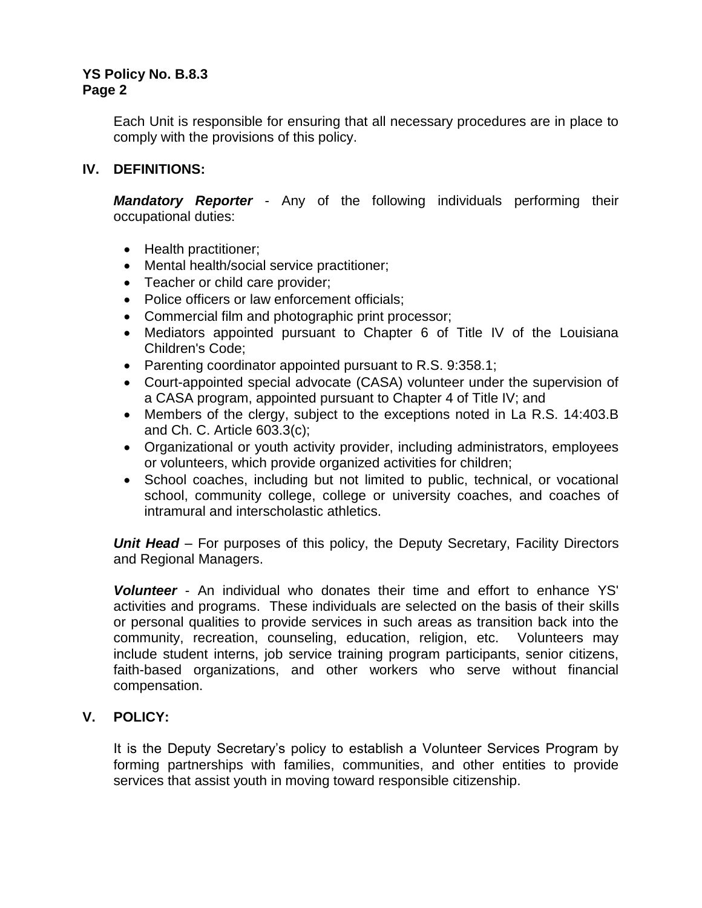Each Unit is responsible for ensuring that all necessary procedures are in place to comply with the provisions of this policy.

## **IV. DEFINITIONS:**

*Mandatory Reporter* - Any of the following individuals performing their occupational duties:

- Health practitioner;
- Mental health/social service practitioner;
- Teacher or child care provider;
- Police officers or law enforcement officials;
- Commercial film and photographic print processor;
- Mediators appointed pursuant to Chapter 6 of Title IV of the Louisiana Children's Code;
- Parenting coordinator appointed pursuant to R.S. 9:358.1;
- Court-appointed special advocate (CASA) volunteer under the supervision of a CASA program, appointed pursuant to Chapter 4 of Title IV; and
- Members of the clergy, subject to the exceptions noted in La R.S. 14:403.B and Ch. C. Article 603.3(c);
- Organizational or youth activity provider, including administrators, employees or volunteers, which provide organized activities for children;
- School coaches, including but not limited to public, technical, or vocational school, community college, college or university coaches, and coaches of intramural and interscholastic athletics.

*Unit Head* – For purposes of this policy, the Deputy Secretary, Facility Directors and Regional Managers.

*Volunteer* - An individual who donates their time and effort to enhance YS' activities and programs. These individuals are selected on the basis of their skills or personal qualities to provide services in such areas as transition back into the community, recreation, counseling, education, religion, etc. Volunteers may include student interns, job service training program participants, senior citizens, faith-based organizations, and other workers who serve without financial compensation.

# **V. POLICY:**

It is the Deputy Secretary's policy to establish a Volunteer Services Program by forming partnerships with families, communities, and other entities to provide services that assist youth in moving toward responsible citizenship.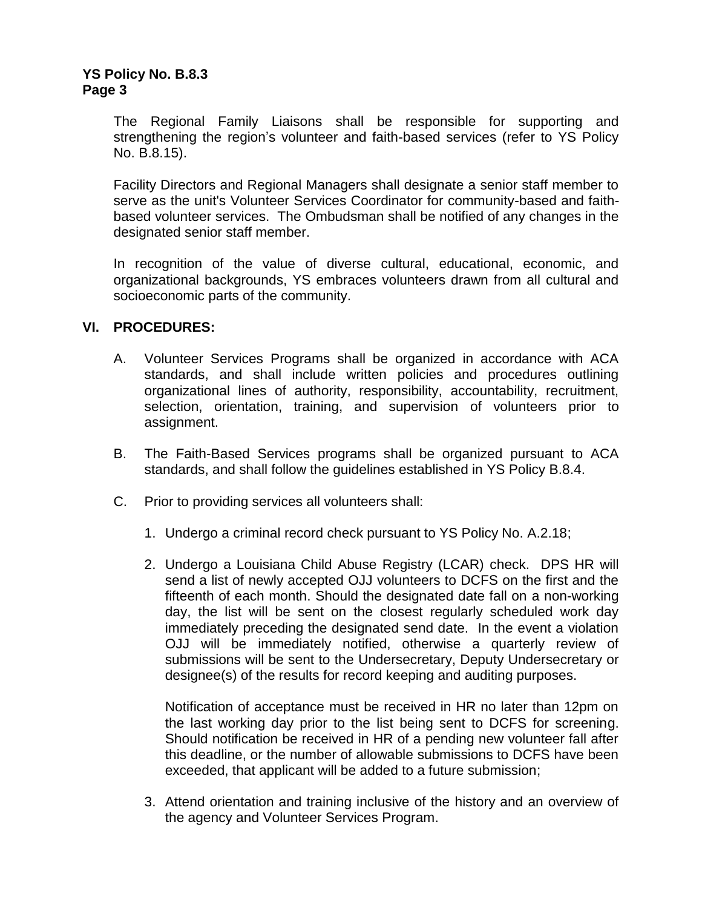The Regional Family Liaisons shall be responsible for supporting and strengthening the region's volunteer and faith-based services (refer to YS Policy No. B.8.15).

Facility Directors and Regional Managers shall designate a senior staff member to serve as the unit's Volunteer Services Coordinator for community-based and faithbased volunteer services. The Ombudsman shall be notified of any changes in the designated senior staff member.

In recognition of the value of diverse cultural, educational, economic, and organizational backgrounds, YS embraces volunteers drawn from all cultural and socioeconomic parts of the community.

#### **VI. PROCEDURES:**

- A. Volunteer Services Programs shall be organized in accordance with ACA standards, and shall include written policies and procedures outlining organizational lines of authority, responsibility, accountability, recruitment, selection, orientation, training, and supervision of volunteers prior to assignment.
- B. The Faith-Based Services programs shall be organized pursuant to ACA standards, and shall follow the guidelines established in YS Policy B.8.4.
- C. Prior to providing services all volunteers shall:
	- 1. Undergo a criminal record check pursuant to YS Policy No. A.2.18;
	- 2. Undergo a Louisiana Child Abuse Registry (LCAR) check. DPS HR will send a list of newly accepted OJJ volunteers to DCFS on the first and the fifteenth of each month. Should the designated date fall on a non-working day, the list will be sent on the closest regularly scheduled work day immediately preceding the designated send date. In the event a violation OJJ will be immediately notified, otherwise a quarterly review of submissions will be sent to the Undersecretary, Deputy Undersecretary or designee(s) of the results for record keeping and auditing purposes.

Notification of acceptance must be received in HR no later than 12pm on the last working day prior to the list being sent to DCFS for screening. Should notification be received in HR of a pending new volunteer fall after this deadline, or the number of allowable submissions to DCFS have been exceeded, that applicant will be added to a future submission;

3. Attend orientation and training inclusive of the history and an overview of the agency and Volunteer Services Program.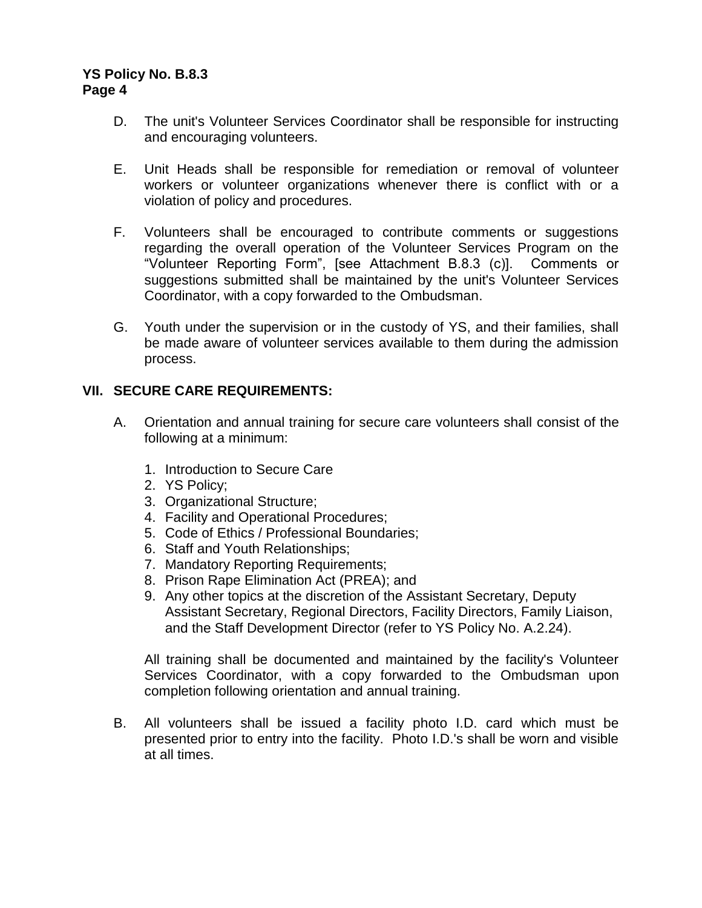- D. The unit's Volunteer Services Coordinator shall be responsible for instructing and encouraging volunteers.
- E. Unit Heads shall be responsible for remediation or removal of volunteer workers or volunteer organizations whenever there is conflict with or a violation of policy and procedures.
- F. Volunteers shall be encouraged to contribute comments or suggestions regarding the overall operation of the Volunteer Services Program on the "Volunteer Reporting Form", [see Attachment B.8.3 (c)]. Comments or suggestions submitted shall be maintained by the unit's Volunteer Services Coordinator, with a copy forwarded to the Ombudsman.
- G. Youth under the supervision or in the custody of YS, and their families, shall be made aware of volunteer services available to them during the admission process.

## **VII. SECURE CARE REQUIREMENTS:**

- A. Orientation and annual training for secure care volunteers shall consist of the following at a minimum:
	- 1. Introduction to Secure Care
	- 2. YS Policy;
	- 3. Organizational Structure;
	- 4. Facility and Operational Procedures;
	- 5. Code of Ethics / Professional Boundaries;
	- 6. Staff and Youth Relationships;
	- 7. Mandatory Reporting Requirements;
	- 8. Prison Rape Elimination Act (PREA); and
	- 9. Any other topics at the discretion of the Assistant Secretary, Deputy Assistant Secretary, Regional Directors, Facility Directors, Family Liaison, and the Staff Development Director (refer to YS Policy No. A.2.24).

All training shall be documented and maintained by the facility's Volunteer Services Coordinator, with a copy forwarded to the Ombudsman upon completion following orientation and annual training.

B. All volunteers shall be issued a facility photo I.D. card which must be presented prior to entry into the facility. Photo I.D.'s shall be worn and visible at all times.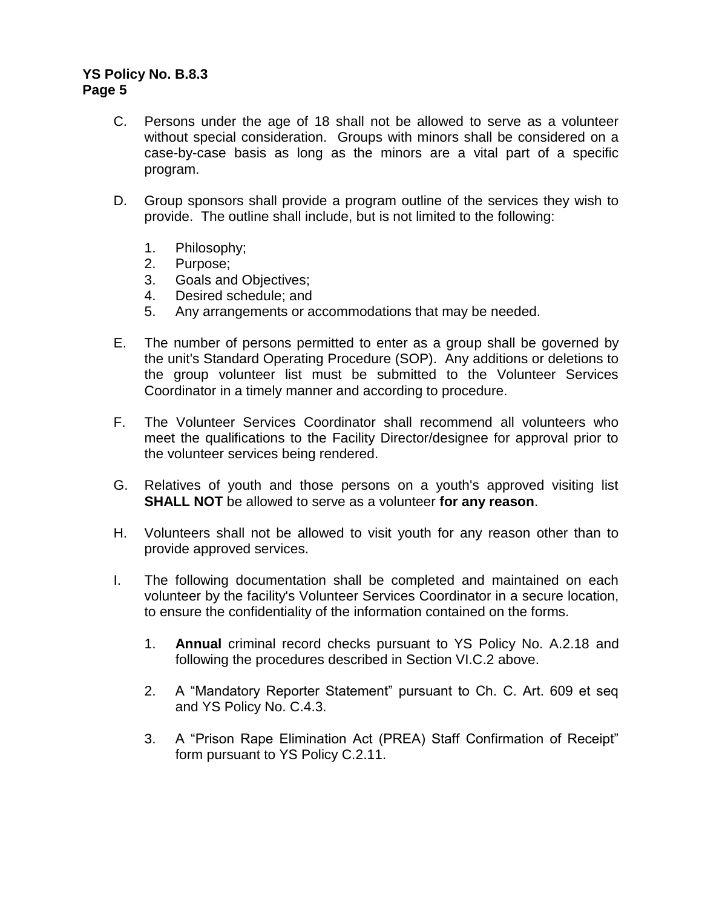- C. Persons under the age of 18 shall not be allowed to serve as a volunteer without special consideration. Groups with minors shall be considered on a case-by-case basis as long as the minors are a vital part of a specific program.
- D. Group sponsors shall provide a program outline of the services they wish to provide. The outline shall include, but is not limited to the following:
	- 1. Philosophy;
	- 2. Purpose;
	- 3. Goals and Objectives;
	- 4. Desired schedule; and
	- 5. Any arrangements or accommodations that may be needed.
- E. The number of persons permitted to enter as a group shall be governed by the unit's Standard Operating Procedure (SOP). Any additions or deletions to the group volunteer list must be submitted to the Volunteer Services Coordinator in a timely manner and according to procedure.
- F. The Volunteer Services Coordinator shall recommend all volunteers who meet the qualifications to the Facility Director/designee for approval prior to the volunteer services being rendered.
- G. Relatives of youth and those persons on a youth's approved visiting list **SHALL NOT** be allowed to serve as a volunteer **for any reason**.
- H. Volunteers shall not be allowed to visit youth for any reason other than to provide approved services.
- I. The following documentation shall be completed and maintained on each volunteer by the facility's Volunteer Services Coordinator in a secure location, to ensure the confidentiality of the information contained on the forms.
	- 1. **Annual** criminal record checks pursuant to YS Policy No. A.2.18 and following the procedures described in Section VI.C.2 above.
	- 2. A "Mandatory Reporter Statement" pursuant to Ch. C. Art. 609 et seq and YS Policy No. C.4.3.
	- 3. A "Prison Rape Elimination Act (PREA) Staff Confirmation of Receipt" form pursuant to YS Policy C.2.11.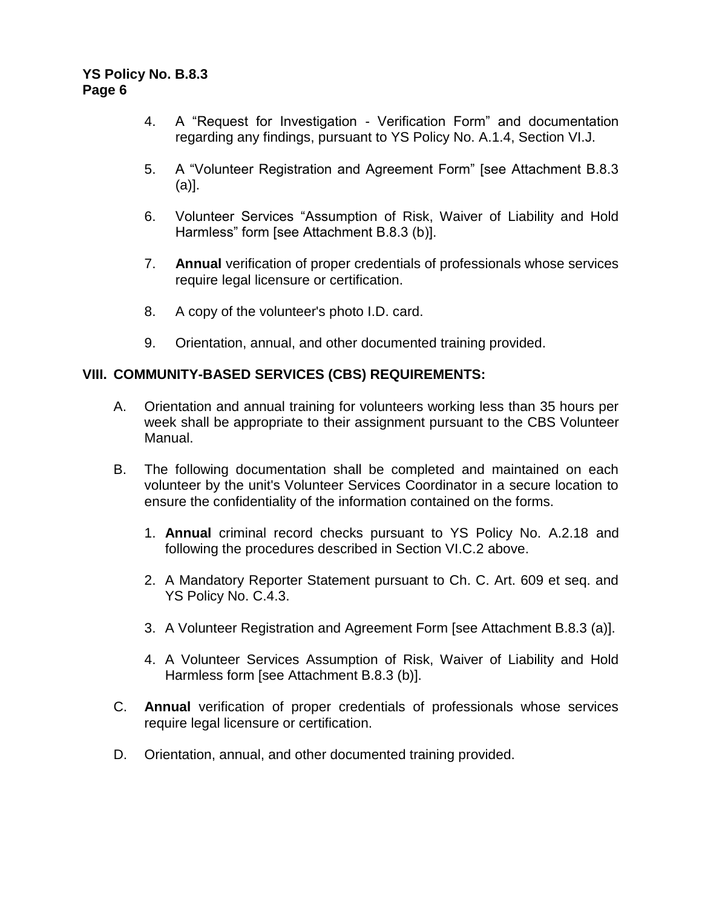- 4. A "Request for Investigation Verification Form" and documentation regarding any findings, pursuant to YS Policy No. A.1.4, Section VI.J.
- 5. A "Volunteer Registration and Agreement Form" [see Attachment B.8.3 (a)].
- 6. Volunteer Services "Assumption of Risk, Waiver of Liability and Hold Harmless" form [see Attachment B.8.3 (b)].
- 7. **Annual** verification of proper credentials of professionals whose services require legal licensure or certification.
- 8. A copy of the volunteer's photo I.D. card.
- 9. Orientation, annual, and other documented training provided.

## **VIII. COMMUNITY-BASED SERVICES (CBS) REQUIREMENTS:**

- A. Orientation and annual training for volunteers working less than 35 hours per week shall be appropriate to their assignment pursuant to the CBS Volunteer Manual.
- B. The following documentation shall be completed and maintained on each volunteer by the unit's Volunteer Services Coordinator in a secure location to ensure the confidentiality of the information contained on the forms.
	- 1. **Annual** criminal record checks pursuant to YS Policy No. A.2.18 and following the procedures described in Section VI.C.2 above.
	- 2. A Mandatory Reporter Statement pursuant to Ch. C. Art. 609 et seq. and YS Policy No. C.4.3.
	- 3. A Volunteer Registration and Agreement Form [see Attachment B.8.3 (a)].
	- 4. A Volunteer Services Assumption of Risk, Waiver of Liability and Hold Harmless form [see Attachment B.8.3 (b)].
- C. **Annual** verification of proper credentials of professionals whose services require legal licensure or certification.
- D. Orientation, annual, and other documented training provided.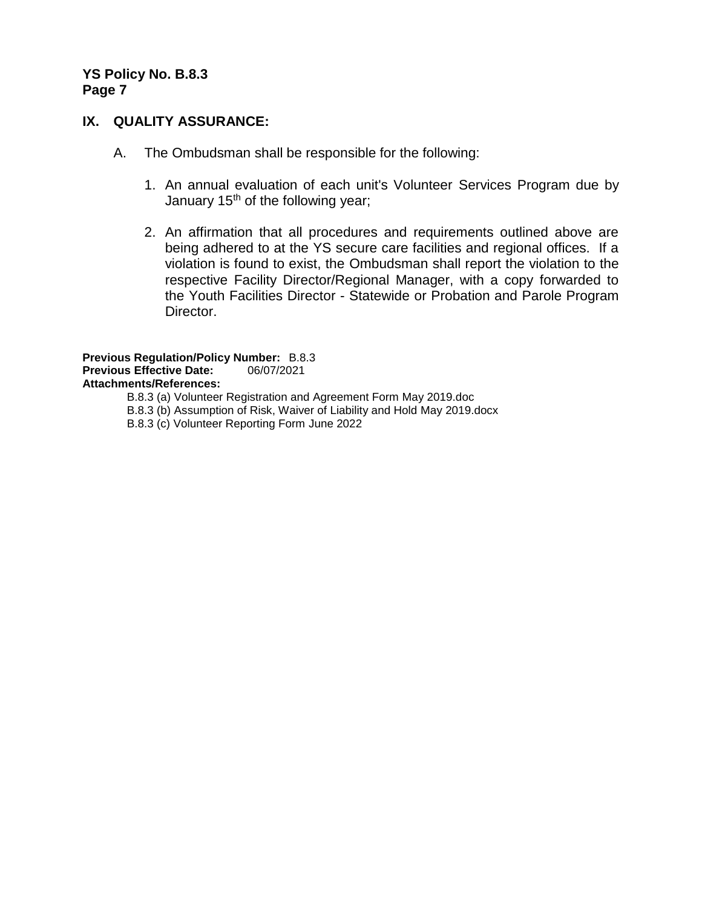## **IX. QUALITY ASSURANCE:**

- A. The Ombudsman shall be responsible for the following:
	- 1. An annual evaluation of each unit's Volunteer Services Program due by January 15<sup>th</sup> of the following year;
	- 2. An affirmation that all procedures and requirements outlined above are being adhered to at the YS secure care facilities and regional offices. If a violation is found to exist, the Ombudsman shall report the violation to the respective Facility Director/Regional Manager, with a copy forwarded to the Youth Facilities Director - Statewide or Probation and Parole Program Director.

**Previous Regulation/Policy Number:** B.8.3 **Previous Effective Date:** 06/07/2021 **Attachments/References:**  B.8.3 (a) Volunteer Registration and Agreement Form May 2019.doc B.8.3 (b) Assumption of Risk, Waiver of Liability and Hold May 2019.docx

B.8.3 (c) Volunteer Reporting Form June 2022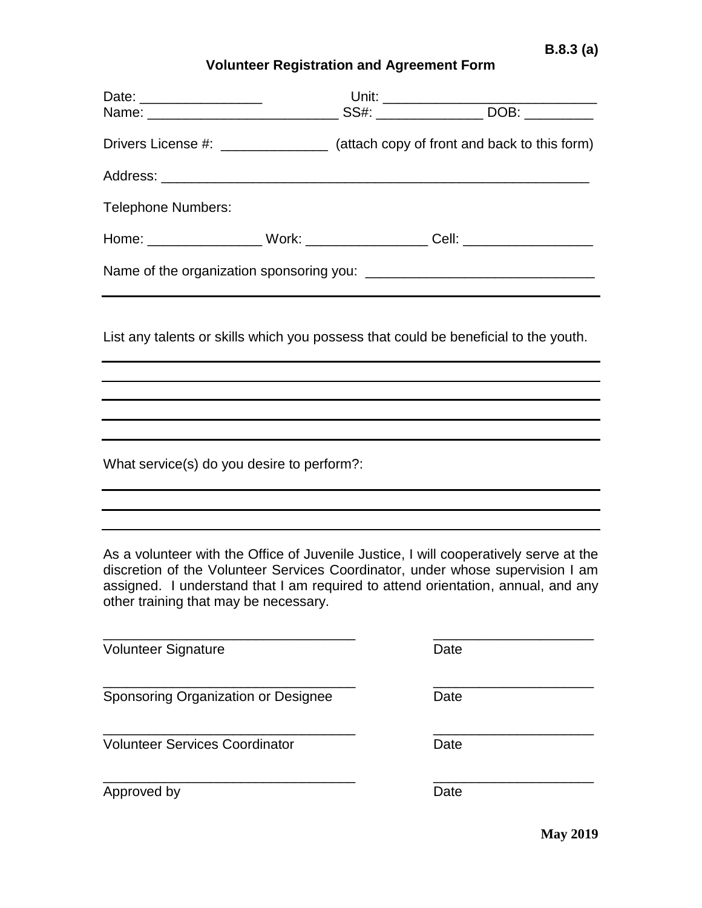# **Volunteer Registration and Agreement Form**

|                                                                                                                                                                                                                                                                                                      |  |  | Drivers License #: ______________ (attach copy of front and back to this form)      |  |
|------------------------------------------------------------------------------------------------------------------------------------------------------------------------------------------------------------------------------------------------------------------------------------------------------|--|--|-------------------------------------------------------------------------------------|--|
|                                                                                                                                                                                                                                                                                                      |  |  |                                                                                     |  |
| <b>Telephone Numbers:</b>                                                                                                                                                                                                                                                                            |  |  |                                                                                     |  |
|                                                                                                                                                                                                                                                                                                      |  |  | Home: _______________________ Work: ______________________ Cell: _______________    |  |
|                                                                                                                                                                                                                                                                                                      |  |  |                                                                                     |  |
|                                                                                                                                                                                                                                                                                                      |  |  | List any talents or skills which you possess that could be beneficial to the youth. |  |
|                                                                                                                                                                                                                                                                                                      |  |  |                                                                                     |  |
|                                                                                                                                                                                                                                                                                                      |  |  |                                                                                     |  |
| What service(s) do you desire to perform?:                                                                                                                                                                                                                                                           |  |  |                                                                                     |  |
|                                                                                                                                                                                                                                                                                                      |  |  |                                                                                     |  |
| As a volunteer with the Office of Juvenile Justice, I will cooperatively serve at the<br>discretion of the Volunteer Services Coordinator, under whose supervision I am<br>assigned. I understand that I am required to attend orientation, annual, and any<br>other training that may be necessary. |  |  |                                                                                     |  |
| Volunteer Signature                                                                                                                                                                                                                                                                                  |  |  | Date                                                                                |  |
| Sponsoring Organization or Designee                                                                                                                                                                                                                                                                  |  |  | Date                                                                                |  |
| <b>Volunteer Services Coordinator</b>                                                                                                                                                                                                                                                                |  |  | Date                                                                                |  |
| Approved by                                                                                                                                                                                                                                                                                          |  |  | Date                                                                                |  |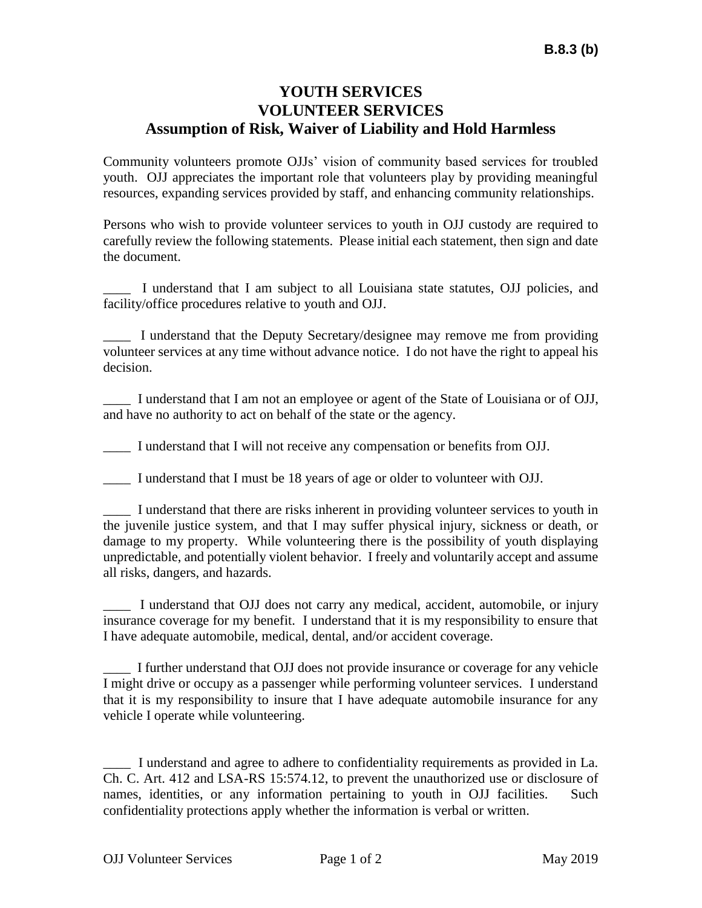# **YOUTH SERVICES VOLUNTEER SERVICES Assumption of Risk, Waiver of Liability and Hold Harmless**

Community volunteers promote OJJs' vision of community based services for troubled youth. OJJ appreciates the important role that volunteers play by providing meaningful resources, expanding services provided by staff, and enhancing community relationships.

Persons who wish to provide volunteer services to youth in OJJ custody are required to carefully review the following statements. Please initial each statement, then sign and date the document.

\_\_\_\_ I understand that I am subject to all Louisiana state statutes, OJJ policies, and facility/office procedures relative to youth and OJJ.

\_\_\_\_ I understand that the Deputy Secretary/designee may remove me from providing volunteer services at any time without advance notice. I do not have the right to appeal his decision.

\_\_\_\_ I understand that I am not an employee or agent of the State of Louisiana or of OJJ, and have no authority to act on behalf of the state or the agency.

\_\_\_\_ I understand that I will not receive any compensation or benefits from OJJ.

\_\_\_\_ I understand that I must be 18 years of age or older to volunteer with OJJ.

\_\_\_\_ I understand that there are risks inherent in providing volunteer services to youth in the juvenile justice system, and that I may suffer physical injury, sickness or death, or damage to my property. While volunteering there is the possibility of youth displaying unpredictable, and potentially violent behavior. I freely and voluntarily accept and assume all risks, dangers, and hazards.

\_\_\_\_ I understand that OJJ does not carry any medical, accident, automobile, or injury insurance coverage for my benefit. I understand that it is my responsibility to ensure that I have adequate automobile, medical, dental, and/or accident coverage.

\_\_\_\_ I further understand that OJJ does not provide insurance or coverage for any vehicle I might drive or occupy as a passenger while performing volunteer services. I understand that it is my responsibility to insure that I have adequate automobile insurance for any vehicle I operate while volunteering.

\_\_\_\_ I understand and agree to adhere to confidentiality requirements as provided in La. Ch. C. Art. 412 and LSA-RS 15:574.12, to prevent the unauthorized use or disclosure of names, identities, or any information pertaining to youth in OJJ facilities. Such confidentiality protections apply whether the information is verbal or written.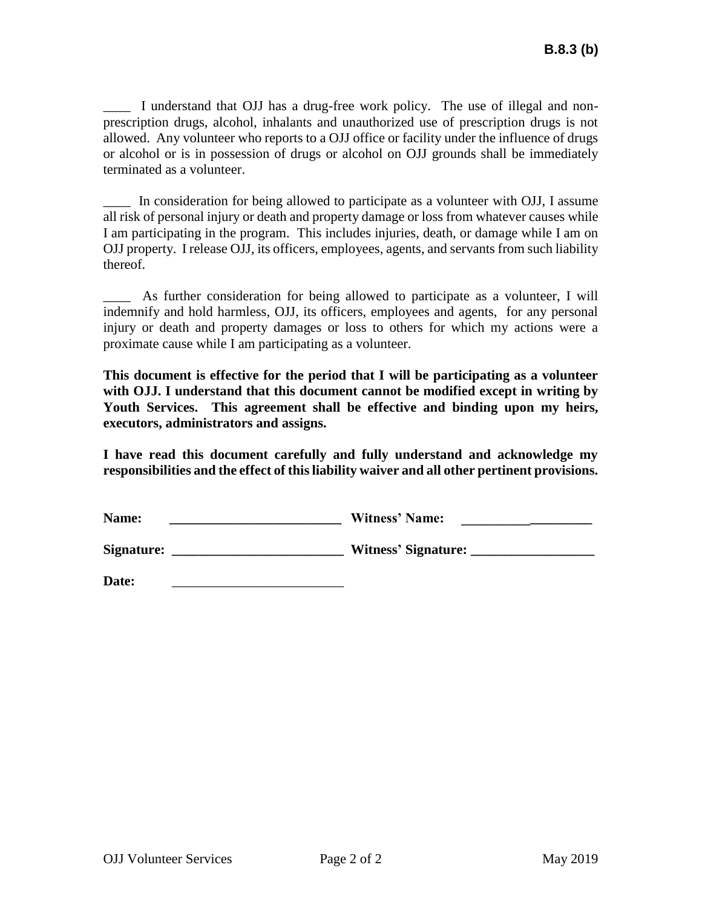\_\_\_\_ I understand that OJJ has a drug-free work policy. The use of illegal and nonprescription drugs, alcohol, inhalants and unauthorized use of prescription drugs is not allowed. Any volunteer who reports to a OJJ office or facility under the influence of drugs or alcohol or is in possession of drugs or alcohol on OJJ grounds shall be immediately terminated as a volunteer.

\_\_\_\_ In consideration for being allowed to participate as a volunteer with OJJ, I assume all risk of personal injury or death and property damage or loss from whatever causes while I am participating in the program. This includes injuries, death, or damage while I am on OJJ property. I release OJJ, its officers, employees, agents, and servants from such liability thereof.

As further consideration for being allowed to participate as a volunteer, I will indemnify and hold harmless, OJJ, its officers, employees and agents, for any personal injury or death and property damages or loss to others for which my actions were a proximate cause while I am participating as a volunteer.

**This document is effective for the period that I will be participating as a volunteer with OJJ. I understand that this document cannot be modified except in writing by Youth Services. This agreement shall be effective and binding upon my heirs, executors, administrators and assigns.**

**I have read this document carefully and fully understand and acknowledge my responsibilities and the effect of this liability waiver and all other pertinent provisions.**

| Name: | <b>Witness' Name:</b> |  |
|-------|-----------------------|--|
|       |                       |  |

**Signature: \_\_\_\_\_\_\_\_\_\_\_\_\_\_\_\_\_\_\_\_\_\_\_\_\_ Witness' Signature: \_\_\_\_\_\_\_\_\_\_\_\_\_\_\_\_\_\_**

Date: